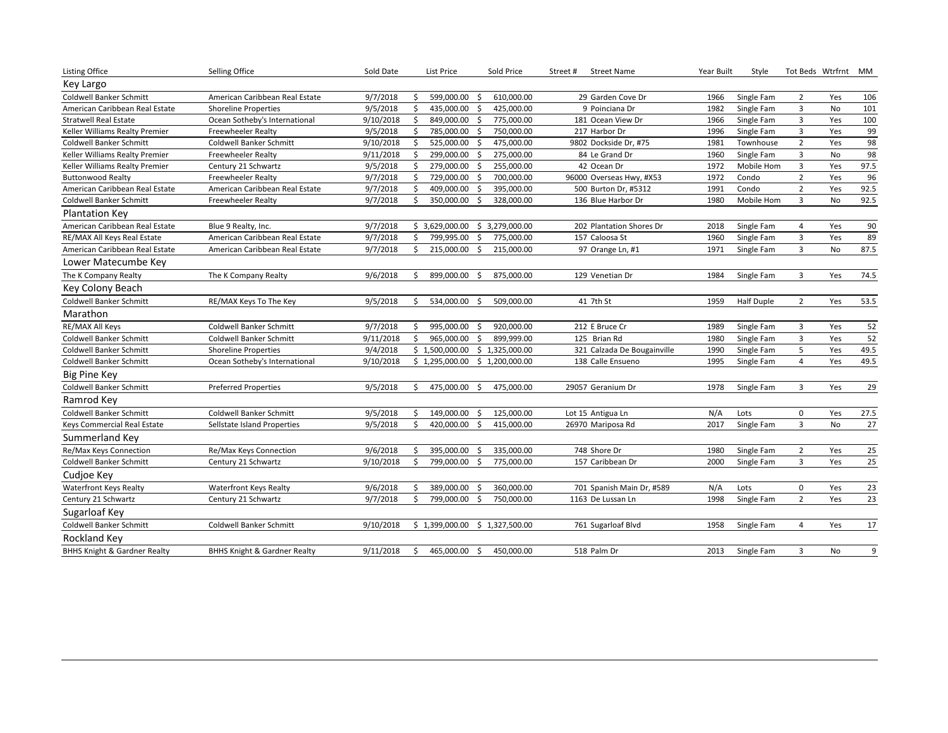| <b>Listing Office</b>                   | Selling Office                          | Sold Date |               | List Price                       | Sold Price     | Street#<br><b>Street Name</b> | Year Built | Style             |                | Tot Beds Wtrfrnt | MM   |
|-----------------------------------------|-----------------------------------------|-----------|---------------|----------------------------------|----------------|-------------------------------|------------|-------------------|----------------|------------------|------|
| Key Largo                               |                                         |           |               |                                  |                |                               |            |                   |                |                  |      |
| Coldwell Banker Schmitt                 | American Caribbean Real Estate          | 9/7/2018  | \$            | 599,000.00<br>\$                 | 610,000.00     | 29 Garden Cove Dr             | 1966       | Single Fam        | $\overline{2}$ | Yes              | 106  |
| American Caribbean Real Estate          | <b>Shoreline Properties</b>             | 9/5/2018  | \$            | 435,000.00<br>S.                 | 425,000.00     | 9 Poinciana Dr                | 1982       | Single Fam        | 3              | No               | 101  |
| <b>Stratwell Real Estate</b>            | Ocean Sotheby's International           | 9/10/2018 | Ŝ             | 849,000.00<br>- \$               | 775,000.00     | 181 Ocean View Dr             | 1966       | Single Fam        | 3              | Yes              | 100  |
| Keller Williams Realty Premier          | <b>Freewheeler Realty</b>               | 9/5/2018  | Ŝ.            | 785,000.00<br>- \$               | 750,000.00     | 217 Harbor Dr                 | 1996       | Single Fam        | 3              | Yes              | 99   |
| Coldwell Banker Schmitt                 | Coldwell Banker Schmitt                 | 9/10/2018 | \$            | 525,000.00<br>\$                 | 475,000.00     | 9802 Dockside Dr, #75         | 1981       | Townhouse         | $\mathbf 2$    | Yes              | 98   |
| Keller Williams Realty Premier          | <b>Freewheeler Realty</b>               | 9/11/2018 | Ŝ.            | 299,000.00<br>-Ś                 | 275,000.00     | 84 Le Grand Dr                | 1960       | Single Fam        | 3              | No               | 98   |
| Keller Williams Realty Premier          | Century 21 Schwartz                     | 9/5/2018  | \$            | 279,000.00<br>-\$                | 255,000.00     | 42 Ocean Dr                   | 1972       | Mobile Hom        | 3              | Yes              | 97.5 |
| <b>Buttonwood Realty</b>                | <b>Freewheeler Realty</b>               | 9/7/2018  | Ŝ.            | 729,000.00<br>-S                 | 700,000.00     | 96000 Overseas Hwy, #X53      | 1972       | Condo             | $\overline{2}$ | Yes              | 96   |
| American Caribbean Real Estate          | American Caribbean Real Estate          | 9/7/2018  | \$            | 409,000.00<br>- \$               | 395,000.00     | 500 Burton Dr, #5312          | 1991       | Condo             | $\mathbf 2$    | Yes              | 92.5 |
| Coldwell Banker Schmitt                 | <b>Freewheeler Realty</b>               | 9/7/2018  | Ŝ.            | 350,000.00<br>\$                 | 328,000.00     | 136 Blue Harbor Dr            | 1980       | Mobile Hom        | 3              | No               | 92.5 |
| <b>Plantation Key</b>                   |                                         |           |               |                                  |                |                               |            |                   |                |                  |      |
| American Caribbean Real Estate          | Blue 9 Realty, Inc.                     | 9/7/2018  |               | \$3,629,000.00                   | \$3,279,000.00 | 202 Plantation Shores Dr      | 2018       | Single Fam        | 4              | Yes              | 90   |
| RE/MAX All Keys Real Estate             | American Caribbean Real Estate          | 9/7/2018  | \$            | 799,995.00<br>\$                 | 775,000.00     | 157 Caloosa St                | 1960       | Single Fam        | 3              | Yes              | 89   |
| American Caribbean Real Estate          | American Caribbean Real Estate          | 9/7/2018  | Ś             | 215,000.00<br>Ŝ.                 | 215,000.00     | 97 Orange Ln, #1              | 1971       | Single Fam        | 3              | No               | 87.5 |
| Lower Matecumbe Key                     |                                         |           |               |                                  |                |                               |            |                   |                |                  |      |
| The K Company Realty                    | The K Company Realty                    | 9/6/2018  | S             | 899,000.00<br>-S                 | 875,000.00     | 129 Venetian Dr               | 1984       | Single Fam        | 3              | Yes              | 74.5 |
| Key Colony Beach                        |                                         |           |               |                                  |                |                               |            |                   |                |                  |      |
| Coldwell Banker Schmitt                 | RE/MAX Keys To The Key                  | 9/5/2018  | S             | 534,000.00<br>-S                 | 509,000.00     | 41 7th St                     | 1959       | <b>Half Duple</b> | $\overline{2}$ | Yes              | 53.5 |
| Marathon                                |                                         |           |               |                                  |                |                               |            |                   |                |                  |      |
| RE/MAX All Keys                         | <b>Coldwell Banker Schmitt</b>          | 9/7/2018  | \$            | 995,000.00<br>\$                 | 920,000.00     | 212 E Bruce Cr                | 1989       | Single Fam        | 3              | Yes              | 52   |
| Coldwell Banker Schmitt                 | <b>Coldwell Banker Schmitt</b>          | 9/11/2018 | \$            | 965,000.00<br>S.                 | 899,999.00     | 125 Brian Rd                  | 1980       | Single Fam        | 3              | Yes              | 52   |
| Coldwell Banker Schmitt                 | <b>Shoreline Properties</b>             | 9/4/2018  |               | $$1,500,000.00$$ $$1,325,000.00$ |                | 321 Calzada De Bougainville   | 1990       | Single Fam        | 5              | Yes              | 49.5 |
| Coldwell Banker Schmitt                 | Ocean Sotheby's International           | 9/10/2018 |               | \$1,295,000.00 \$1,200,000.00    |                | 138 Calle Ensueno             | 1995       | Single Fam        | $\overline{4}$ | Yes              | 49.5 |
| <b>Big Pine Key</b>                     |                                         |           |               |                                  |                |                               |            |                   |                |                  |      |
| Coldwell Banker Schmitt                 | <b>Preferred Properties</b>             | 9/5/2018  | Ŝ.            | 475,000.00<br>-\$                | 475,000.00     | 29057 Geranium Dr             | 1978       | Single Fam        | 3              | Yes              | 29   |
| Ramrod Key                              |                                         |           |               |                                  |                |                               |            |                   |                |                  |      |
| Coldwell Banker Schmitt                 | <b>Coldwell Banker Schmitt</b>          | 9/5/2018  | \$            | 149,000.00<br>- \$               | 125,000.00     | Lot 15 Antigua Ln             | N/A        | Lots              | $\pmb{0}$      | Yes              | 27.5 |
| Keys Commercial Real Estate             | Sellstate Island Properties             | 9/5/2018  | \$            | 420,000.00<br>\$                 | 415,000.00     | 26970 Mariposa Rd             | 2017       | Single Fam        | 3              | No               | 27   |
| Summerland Key                          |                                         |           |               |                                  |                |                               |            |                   |                |                  |      |
| Re/Max Keys Connection                  | Re/Max Keys Connection                  | 9/6/2018  | \$            | 395,000.00<br>-\$                | 335,000.00     | 748 Shore Dr                  | 1980       | Single Fam        | $\overline{2}$ | Yes              | 25   |
| <b>Coldwell Banker Schmitt</b>          | Century 21 Schwartz                     | 9/10/2018 | <sup>\$</sup> | 799,000.00<br>-\$                | 775,000.00     | 157 Caribbean Dr              | 2000       | Single Fam        | 3              | Yes              | 25   |
| Cudjoe Key                              |                                         |           |               |                                  |                |                               |            |                   |                |                  |      |
| <b>Waterfront Keys Realty</b>           | <b>Waterfront Keys Realty</b>           | 9/6/2018  | S             | 389,000.00<br>-Ś                 | 360,000.00     | 701 Spanish Main Dr, #589     | N/A        | Lots              | $\mathbf 0$    | Yes              | 23   |
| Century 21 Schwartz                     | Century 21 Schwartz                     | 9/7/2018  | Ŝ.            | 799,000.00<br>-\$                | 750,000.00     | 1163 De Lussan Ln             | 1998       | Single Fam        | $\overline{2}$ | Yes              | 23   |
| Sugarloaf Key                           |                                         |           |               |                                  |                |                               |            |                   |                |                  |      |
| Coldwell Banker Schmitt                 | Coldwell Banker Schmitt                 | 9/10/2018 |               | \$1,399,000.00                   | \$1,327,500.00 | 761 Sugarloaf Blvd            | 1958       | Single Fam        | 4              | Yes              | 17   |
| Rockland Key                            |                                         |           |               |                                  |                |                               |            |                   |                |                  |      |
| <b>BHHS Knight &amp; Gardner Realty</b> | <b>BHHS Knight &amp; Gardner Realty</b> | 9/11/2018 | \$.           | 465,000.00 \$                    | 450,000.00     | 518 Palm Dr                   | 2013       | Single Fam        | 3              | No               | 9    |